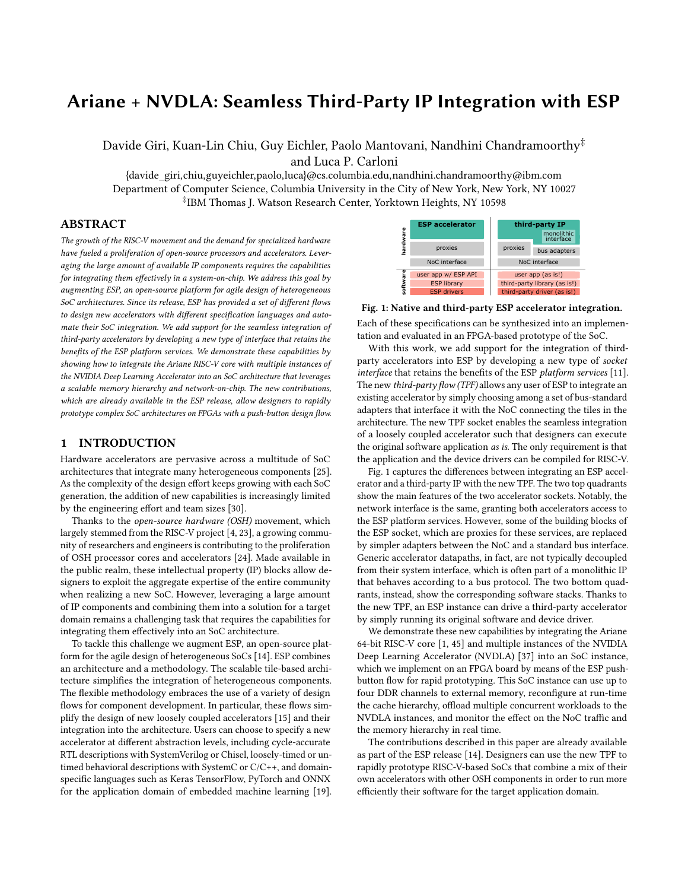# Ariane + NVDLA: Seamless Third-Party IP Integration with ESP

Davide Giri, Kuan-Lin Chiu, Guy Eichler, Paolo Mantovani, Nandhini Chandramoorthy‡ and Luca P. Carloni

{davide\_giri,chiu,guyeichler,paolo,luca}@cs.columbia.edu,nandhini.chandramoorthy@ibm.com Department of Computer Science, Columbia University in the City of New York, New York, NY 10027 ‡ IBM Thomas J. Watson Research Center, Yorktown Heights, NY 10598

## ABSTRACT

The growth of the RISC-V movement and the demand for specialized hardware have fueled a proliferation of open-source processors and accelerators. Leveraging the large amount of available IP components requires the capabilities for integrating them effectively in a system-on-chip. We address this goal by augmenting ESP, an open-source platform for agile design of heterogeneous SoC architectures. Since its release, ESP has provided a set of different flows to design new accelerators with different specification languages and automate their SoC integration. We add support for the seamless integration of third-party accelerators by developing a new type of interface that retains the benefits of the ESP platform services. We demonstrate these capabilities by showing how to integrate the Ariane RISC-V core with multiple instances of the NVIDIA Deep Learning Accelerator into an SoC architecture that leverages a scalable memory hierarchy and network-on-chip. The new contributions, which are already available in the ESP release, allow designers to rapidly prototype complex SoC architectures on FPGAs with a push-button design flow.

## 1 INTRODUCTION

Hardware accelerators are pervasive across a multitude of SoC architectures that integrate many heterogeneous components [\[25\]](#page-6-0). As the complexity of the design effort keeps growing with each SoC generation, the addition of new capabilities is increasingly limited by the engineering effort and team sizes [\[30\]](#page-6-1).

Thanks to the open-source hardware (OSH) movement, which largely stemmed from the RISC-V project [\[4,](#page-6-2) [23\]](#page-6-3), a growing community of researchers and engineers is contributing to the proliferation of OSH processor cores and accelerators [\[24\]](#page-6-4). Made available in the public realm, these intellectual property (IP) blocks allow designers to exploit the aggregate expertise of the entire community when realizing a new SoC. However, leveraging a large amount of IP components and combining them into a solution for a target domain remains a challenging task that requires the capabilities for integrating them effectively into an SoC architecture.

To tackle this challenge we augment ESP, an open-source platform for the agile design of heterogeneous SoCs [\[14\]](#page-6-5). ESP combines an architecture and a methodology. The scalable tile-based architecture simplifies the integration of heterogeneous components. The flexible methodology embraces the use of a variety of design flows for component development. In particular, these flows simplify the design of new loosely coupled accelerators [\[15\]](#page-6-6) and their integration into the architecture. Users can choose to specify a new accelerator at different abstraction levels, including cycle-accurate RTL descriptions with SystemVerilog or Chisel, loosely-timed or untimed behavioral descriptions with SystemC or C/C++, and domainspecific languages such as Keras TensorFlow, PyTorch and ONNX for the application domain of embedded machine learning [\[19\]](#page-6-7).

<span id="page-0-0"></span>

Fig. 1: Native and third-party ESP accelerator integration.

Each of these specifications can be synthesized into an implementation and evaluated in an FPGA-based prototype of the SoC.

With this work, we add support for the integration of thirdparty accelerators into ESP by developing a new type of socket interface that retains the benefits of the ESP platform services [\[11\]](#page-6-8). The new third-party flow (TPF) allows any user of ESP to integrate an existing accelerator by simply choosing among a set of bus-standard adapters that interface it with the NoC connecting the tiles in the architecture. The new TPF socket enables the seamless integration of a loosely coupled accelerator such that designers can execute the original software application as is. The only requirement is that the application and the device drivers can be compiled for RISC-V.

Fig. [1](#page-0-0) captures the differences between integrating an ESP accelerator and a third-party IP with the new TPF. The two top quadrants show the main features of the two accelerator sockets. Notably, the network interface is the same, granting both accelerators access to the ESP platform services. However, some of the building blocks of the ESP socket, which are proxies for these services, are replaced by simpler adapters between the NoC and a standard bus interface. Generic accelerator datapaths, in fact, are not typically decoupled from their system interface, which is often part of a monolithic IP that behaves according to a bus protocol. The two bottom quadrants, instead, show the corresponding software stacks. Thanks to the new TPF, an ESP instance can drive a third-party accelerator by simply running its original software and device driver.

We demonstrate these new capabilities by integrating the Ariane 64-bit RISC-V core [\[1,](#page-6-9) [45\]](#page-6-10) and multiple instances of the NVIDIA Deep Learning Accelerator (NVDLA) [\[37\]](#page-6-11) into an SoC instance, which we implement on an FPGA board by means of the ESP pushbutton flow for rapid prototyping. This SoC instance can use up to four DDR channels to external memory, reconfigure at run-time the cache hierarchy, offload multiple concurrent workloads to the NVDLA instances, and monitor the effect on the NoC traffic and the memory hierarchy in real time.

The contributions described in this paper are already available as part of the ESP release [\[14\]](#page-6-5). Designers can use the new TPF to rapidly prototype RISC-V-based SoCs that combine a mix of their own accelerators with other OSH components in order to run more efficiently their software for the target application domain.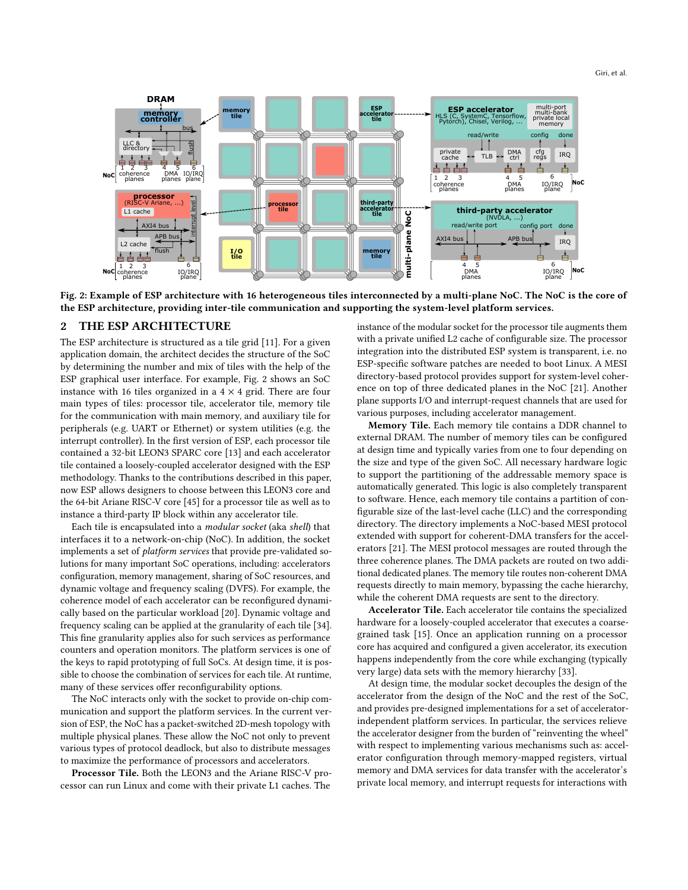<span id="page-1-0"></span>

Fig. 2: Example of ESP architecture with 16 heterogeneous tiles interconnected by a multi-plane NoC. The NoC is the core of the ESP architecture, providing inter-tile communication and supporting the system-level platform services.

#### THE ESP ARCHITECTURE

The ESP architecture is structured as a tile grid [\[11\]](#page-6-8). For a given application domain, the architect decides the structure of the SoC by determining the number and mix of tiles with the help of the ESP graphical user interface. For example, Fig. [2](#page-1-0) shows an SoC instance with 16 tiles organized in a  $4 \times 4$  grid. There are four main types of tiles: processor tile, accelerator tile, memory tile for the communication with main memory, and auxiliary tile for peripherals (e.g. UART or Ethernet) or system utilities (e.g. the interrupt controller). In the first version of ESP, each processor tile contained a 32-bit LEON3 SPARC core [\[13\]](#page-6-12) and each accelerator tile contained a loosely-coupled accelerator designed with the ESP methodology. Thanks to the contributions described in this paper, now ESP allows designers to choose between this LEON3 core and the 64-bit Ariane RISC-V core [\[45\]](#page-6-10) for a processor tile as well as to instance a third-party IP block within any accelerator tile.

Each tile is encapsulated into a modular socket (aka shell) that interfaces it to a network-on-chip (NoC). In addition, the socket implements a set of platform services that provide pre-validated solutions for many important SoC operations, including: accelerators configuration, memory management, sharing of SoC resources, and dynamic voltage and frequency scaling (DVFS). For example, the coherence model of each accelerator can be reconfigured dynamically based on the particular workload [\[20\]](#page-6-13). Dynamic voltage and frequency scaling can be applied at the granularity of each tile [\[34\]](#page-6-14). This fine granularity applies also for such services as performance counters and operation monitors. The platform services is one of the keys to rapid prototyping of full SoCs. At design time, it is possible to choose the combination of services for each tile. At runtime, many of these services offer reconfigurability options.

The NoC interacts only with the socket to provide on-chip communication and support the platform services. In the current version of ESP, the NoC has a packet-switched 2D-mesh topology with multiple physical planes. These allow the NoC not only to prevent various types of protocol deadlock, but also to distribute messages to maximize the performance of processors and accelerators.

Processor Tile. Both the LEON3 and the Ariane RISC-V processor can run Linux and come with their private L1 caches. The

instance of the modular socket for the processor tile augments them with a private unified L2 cache of configurable size. The processor integration into the distributed ESP system is transparent, i.e. no ESP-specific software patches are needed to boot Linux. A MESI directory-based protocol provides support for system-level coherence on top of three dedicated planes in the NoC [\[21\]](#page-6-15). Another plane supports I/O and interrupt-request channels that are used for various purposes, including accelerator management.

Memory Tile. Each memory tile contains a DDR channel to external DRAM. The number of memory tiles can be configured at design time and typically varies from one to four depending on the size and type of the given SoC. All necessary hardware logic to support the partitioning of the addressable memory space is automatically generated. This logic is also completely transparent to software. Hence, each memory tile contains a partition of configurable size of the last-level cache (LLC) and the corresponding directory. The directory implements a NoC-based MESI protocol extended with support for coherent-DMA transfers for the accelerators [\[21\]](#page-6-15). The MESI protocol messages are routed through the three coherence planes. The DMA packets are routed on two additional dedicated planes. The memory tile routes non-coherent DMA requests directly to main memory, bypassing the cache hierarchy, while the coherent DMA requests are sent to the directory.

Accelerator Tile. Each accelerator tile contains the specialized hardware for a loosely-coupled accelerator that executes a coarsegrained task [\[15\]](#page-6-6). Once an application running on a processor core has acquired and configured a given accelerator, its execution happens independently from the core while exchanging (typically very large) data sets with the memory hierarchy [\[33\]](#page-6-16).

At design time, the modular socket decouples the design of the accelerator from the design of the NoC and the rest of the SoC, and provides pre-designed implementations for a set of acceleratorindependent platform services. In particular, the services relieve the accelerator designer from the burden of "reinventing the wheel" with respect to implementing various mechanisms such as: accelerator configuration through memory-mapped registers, virtual memory and DMA services for data transfer with the accelerator's private local memory, and interrupt requests for interactions with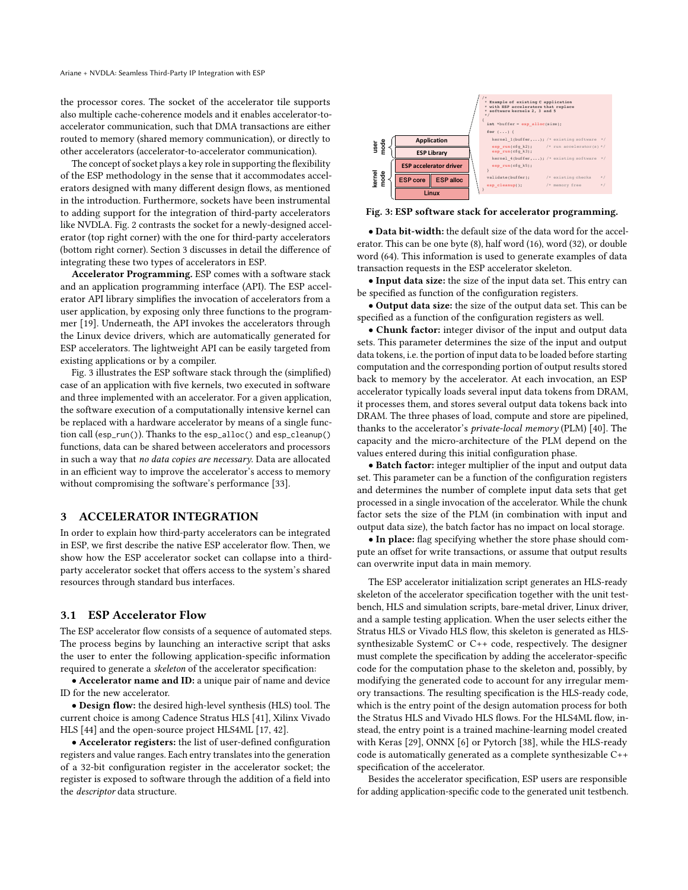the processor cores. The socket of the accelerator tile supports also multiple cache-coherence models and it enables accelerator-toaccelerator communication, such that DMA transactions are either routed to memory (shared memory communication), or directly to other accelerators (accelerator-to-accelerator communication).

The concept of socket plays a key role in supporting the flexibility of the ESP methodology in the sense that it accommodates accelerators designed with many different design flows, as mentioned in the introduction. Furthermore, sockets have been instrumental to adding support for the integration of third-party accelerators like NVDLA. Fig. [2](#page-1-0) contrasts the socket for a newly-designed accelerator (top right corner) with the one for third-party accelerators (bottom right corner). Section [3](#page-2-0) discusses in detail the difference of integrating these two types of accelerators in ESP.

Accelerator Programming. ESP comes with a software stack and an application programming interface (API). The ESP accelerator API library simplifies the invocation of accelerators from a user application, by exposing only three functions to the programmer [\[19\]](#page-6-7). Underneath, the API invokes the accelerators through the Linux device drivers, which are automatically generated for ESP accelerators. The lightweight API can be easily targeted from existing applications or by a compiler.

Fig. [3](#page-2-1) illustrates the ESP software stack through the (simplified) case of an application with five kernels, two executed in software and three implemented with an accelerator. For a given application, the software execution of a computationally intensive kernel can be replaced with a hardware accelerator by means of a single function call (esp\_run()). Thanks to the esp\_alloc() and esp\_cleanup() functions, data can be shared between accelerators and processors in such a way that no data copies are necessary. Data are allocated in an efficient way to improve the accelerator's access to memory without compromising the software's performance [\[33\]](#page-6-16).

#### <span id="page-2-0"></span>3 ACCELERATOR INTEGRATION

In order to explain how third-party accelerators can be integrated in ESP, we first describe the native ESP accelerator flow. Then, we show how the ESP accelerator socket can collapse into a thirdparty accelerator socket that offers access to the system's shared resources through standard bus interfaces.

#### 3.1 ESP Accelerator Flow

The ESP accelerator flow consists of a sequence of automated steps. The process begins by launching an interactive script that asks the user to enter the following application-specific information required to generate a skeleton of the accelerator specification:

• Accelerator name and ID: a unique pair of name and device ID for the new accelerator.

• Design flow: the desired high-level synthesis (HLS) tool. The current choice is among Cadence Stratus HLS [\[41\]](#page-6-17), Xilinx Vivado HLS [\[44\]](#page-6-18) and the open-source project HLS4ML [\[17,](#page-6-19) [42\]](#page-6-20).

• Accelerator registers: the list of user-defined configuration registers and value ranges. Each entry translates into the generation of a 32-bit configuration register in the accelerator socket; the register is exposed to software through the addition of a field into the descriptor data structure.

<span id="page-2-1"></span>

Fig. 3: ESP software stack for accelerator programming.

• Data bit-width: the default size of the data word for the accelerator. This can be one byte (8), half word (16), word (32), or double word (64). This information is used to generate examples of data transaction requests in the ESP accelerator skeleton.

• Input data size: the size of the input data set. This entry can be specified as function of the configuration registers.

• Output data size: the size of the output data set. This can be specified as a function of the configuration registers as well.

• Chunk factor: integer divisor of the input and output data sets. This parameter determines the size of the input and output data tokens, i.e. the portion of input data to be loaded before starting computation and the corresponding portion of output results stored back to memory by the accelerator. At each invocation, an ESP accelerator typically loads several input data tokens from DRAM, it processes them, and stores several output data tokens back into DRAM. The three phases of load, compute and store are pipelined, thanks to the accelerator's private-local memory (PLM) [\[40\]](#page-6-21). The capacity and the micro-architecture of the PLM depend on the values entered during this initial configuration phase.

• Batch factor: integer multiplier of the input and output data set. This parameter can be a function of the configuration registers and determines the number of complete input data sets that get processed in a single invocation of the accelerator. While the chunk factor sets the size of the PLM (in combination with input and output data size), the batch factor has no impact on local storage.

• In place: flag specifying whether the store phase should compute an offset for write transactions, or assume that output results can overwrite input data in main memory.

The ESP accelerator initialization script generates an HLS-ready skeleton of the accelerator specification together with the unit testbench, HLS and simulation scripts, bare-metal driver, Linux driver, and a sample testing application. When the user selects either the Stratus HLS or Vivado HLS flow, this skeleton is generated as HLSsynthesizable SystemC or C++ code, respectively. The designer must complete the specification by adding the accelerator-specific code for the computation phase to the skeleton and, possibly, by modifying the generated code to account for any irregular memory transactions. The resulting specification is the HLS-ready code, which is the entry point of the design automation process for both the Stratus HLS and Vivado HLS flows. For the HLS4ML flow, instead, the entry point is a trained machine-learning model created with Keras [\[29\]](#page-6-22), ONNX [\[6\]](#page-6-23) or Pytorch [\[38\]](#page-6-24), while the HLS-ready code is automatically generated as a complete synthesizable C++ specification of the accelerator.

Besides the accelerator specification, ESP users are responsible for adding application-specific code to the generated unit testbench.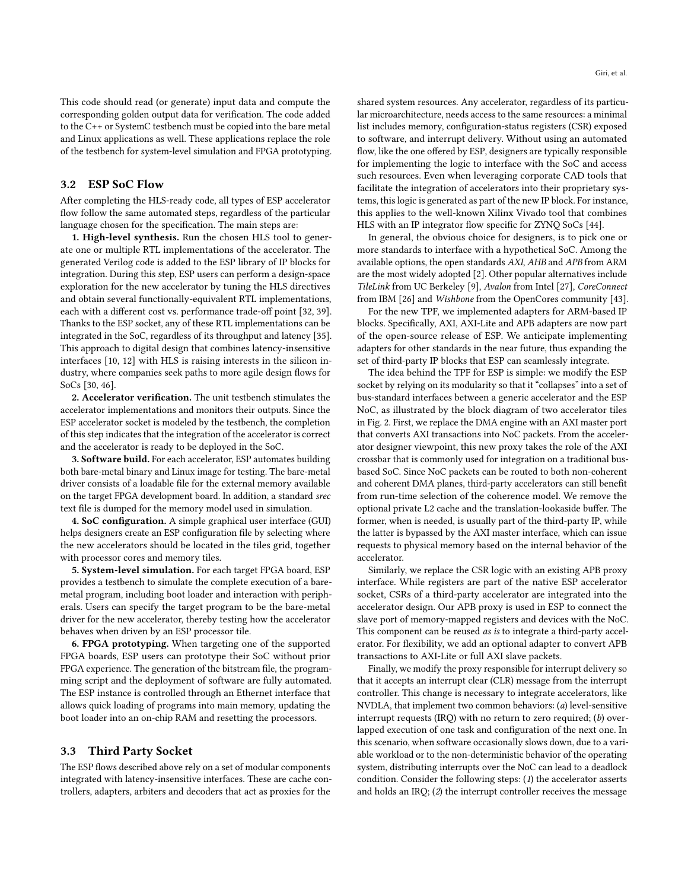This code should read (or generate) input data and compute the corresponding golden output data for verification. The code added to the C++ or SystemC testbench must be copied into the bare metal and Linux applications as well. These applications replace the role of the testbench for system-level simulation and FPGA prototyping.

## <span id="page-3-0"></span>3.2 ESP SoC Flow

After completing the HLS-ready code, all types of ESP accelerator flow follow the same automated steps, regardless of the particular language chosen for the specification. The main steps are:

1. High-level synthesis. Run the chosen HLS tool to generate one or multiple RTL implementations of the accelerator. The generated Verilog code is added to the ESP library of IP blocks for integration. During this step, ESP users can perform a design-space exploration for the new accelerator by tuning the HLS directives and obtain several functionally-equivalent RTL implementations, each with a different cost vs. performance trade-off point [\[32,](#page-6-25) [39\]](#page-6-26). Thanks to the ESP socket, any of these RTL implementations can be integrated in the SoC, regardless of its throughput and latency [\[35\]](#page-6-27). This approach to digital design that combines latency-insensitive interfaces [\[10,](#page-6-28) [12\]](#page-6-29) with HLS is raising interests in the silicon industry, where companies seek paths to more agile design flows for SoCs [\[30,](#page-6-1) [46\]](#page-6-30).

2. Accelerator verification. The unit testbench stimulates the accelerator implementations and monitors their outputs. Since the ESP accelerator socket is modeled by the testbench, the completion of this step indicates that the integration of the accelerator is correct and the accelerator is ready to be deployed in the SoC.

3. Software build. For each accelerator, ESP automates building both bare-metal binary and Linux image for testing. The bare-metal driver consists of a loadable file for the external memory available on the target FPGA development board. In addition, a standard srec text file is dumped for the memory model used in simulation.

4. SoC configuration. A simple graphical user interface (GUI) helps designers create an ESP configuration file by selecting where the new accelerators should be located in the tiles grid, together with processor cores and memory tiles.

5. System-level simulation. For each target FPGA board, ESP provides a testbench to simulate the complete execution of a baremetal program, including boot loader and interaction with peripherals. Users can specify the target program to be the bare-metal driver for the new accelerator, thereby testing how the accelerator behaves when driven by an ESP processor tile.

6. FPGA prototyping. When targeting one of the supported FPGA boards, ESP users can prototype their SoC without prior FPGA experience. The generation of the bitstream file, the programming script and the deployment of software are fully automated. The ESP instance is controlled through an Ethernet interface that allows quick loading of programs into main memory, updating the boot loader into an on-chip RAM and resetting the processors.

#### 3.3 Third Party Socket

The ESP flows described above rely on a set of modular components integrated with latency-insensitive interfaces. These are cache controllers, adapters, arbiters and decoders that act as proxies for the

shared system resources. Any accelerator, regardless of its particular microarchitecture, needs access to the same resources: a minimal list includes memory, configuration-status registers (CSR) exposed to software, and interrupt delivery. Without using an automated flow, like the one offered by ESP, designers are typically responsible for implementing the logic to interface with the SoC and access such resources. Even when leveraging corporate CAD tools that facilitate the integration of accelerators into their proprietary systems, this logic is generated as part of the new IP block. For instance, this applies to the well-known Xilinx Vivado tool that combines HLS with an IP integrator flow specific for ZYNQ SoCs [\[44\]](#page-6-18).

In general, the obvious choice for designers, is to pick one or more standards to interface with a hypothetical SoC. Among the available options, the open standards AXI, AHB and APB from ARM are the most widely adopted [\[2\]](#page-6-31). Other popular alternatives include TileLink from UC Berkeley [\[9\]](#page-6-32), Avalon from Intel [\[27\]](#page-6-33), CoreConnect from IBM [\[26\]](#page-6-34) and Wishbone from the OpenCores community [\[43\]](#page-6-35).

For the new TPF, we implemented adapters for ARM-based IP blocks. Specifically, AXI, AXI-Lite and APB adapters are now part of the open-source release of ESP. We anticipate implementing adapters for other standards in the near future, thus expanding the set of third-party IP blocks that ESP can seamlessly integrate.

The idea behind the TPF for ESP is simple: we modify the ESP socket by relying on its modularity so that it "collapses" into a set of bus-standard interfaces between a generic accelerator and the ESP NoC, as illustrated by the block diagram of two accelerator tiles in Fig. [2.](#page-1-0) First, we replace the DMA engine with an AXI master port that converts AXI transactions into NoC packets. From the accelerator designer viewpoint, this new proxy takes the role of the AXI crossbar that is commonly used for integration on a traditional busbased SoC. Since NoC packets can be routed to both non-coherent and coherent DMA planes, third-party accelerators can still benefit from run-time selection of the coherence model. We remove the optional private L2 cache and the translation-lookaside buffer. The former, when is needed, is usually part of the third-party IP, while the latter is bypassed by the AXI master interface, which can issue requests to physical memory based on the internal behavior of the accelerator.

Similarly, we replace the CSR logic with an existing APB proxy interface. While registers are part of the native ESP accelerator socket, CSRs of a third-party accelerator are integrated into the accelerator design. Our APB proxy is used in ESP to connect the slave port of memory-mapped registers and devices with the NoC. This component can be reused as is to integrate a third-party accelerator. For flexibility, we add an optional adapter to convert APB transactions to AXI-Lite or full AXI slave packets.

Finally, we modify the proxy responsible for interrupt delivery so that it accepts an interrupt clear (CLR) message from the interrupt controller. This change is necessary to integrate accelerators, like NVDLA, that implement two common behaviors: (a) level-sensitive interrupt requests (IRQ) with no return to zero required;  $(b)$  overlapped execution of one task and configuration of the next one. In this scenario, when software occasionally slows down, due to a variable workload or to the non-deterministic behavior of the operating system, distributing interrupts over the NoC can lead to a deadlock condition. Consider the following steps:  $(1)$  the accelerator asserts and holds an IRQ; (2) the interrupt controller receives the message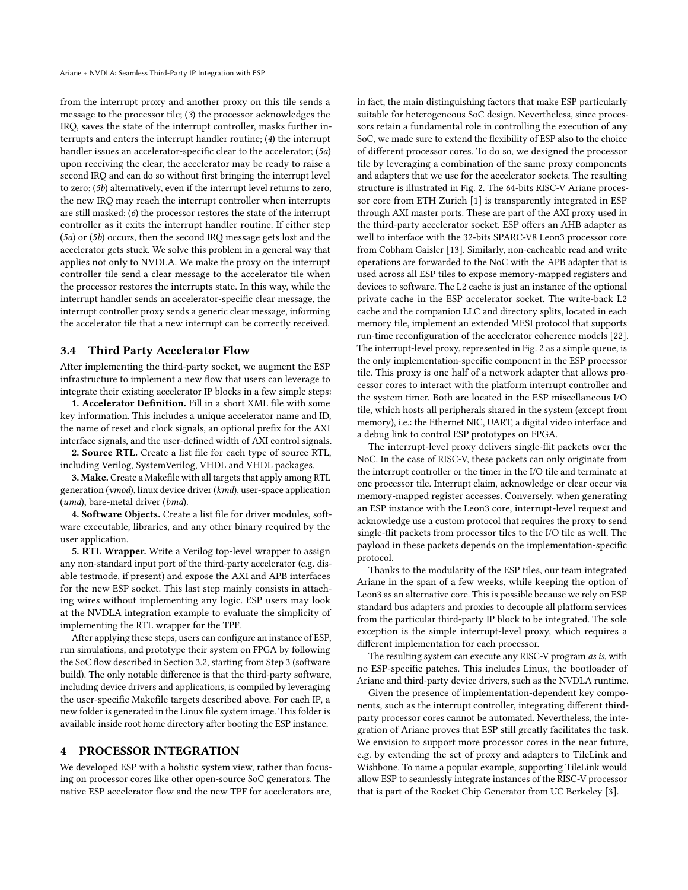from the interrupt proxy and another proxy on this tile sends a message to the processor tile; (3) the processor acknowledges the IRQ, saves the state of the interrupt controller, masks further interrupts and enters the interrupt handler routine; (4) the interrupt handler issues an accelerator-specific clear to the accelerator; (5a) upon receiving the clear, the accelerator may be ready to raise a second IRQ and can do so without first bringing the interrupt level to zero; (5b) alternatively, even if the interrupt level returns to zero, the new IRQ may reach the interrupt controller when interrupts are still masked; (6) the processor restores the state of the interrupt controller as it exits the interrupt handler routine. If either step (5a) or (5b) occurs, then the second IRQ message gets lost and the accelerator gets stuck. We solve this problem in a general way that applies not only to NVDLA. We make the proxy on the interrupt controller tile send a clear message to the accelerator tile when the processor restores the interrupts state. In this way, while the interrupt handler sends an accelerator-specific clear message, the interrupt controller proxy sends a generic clear message, informing the accelerator tile that a new interrupt can be correctly received.

#### 3.4 Third Party Accelerator Flow

After implementing the third-party socket, we augment the ESP infrastructure to implement a new flow that users can leverage to integrate their existing accelerator IP blocks in a few simple steps:

1. Accelerator Definition. Fill in a short XML file with some key information. This includes a unique accelerator name and ID, the name of reset and clock signals, an optional prefix for the AXI interface signals, and the user-defined width of AXI control signals.

2. Source RTL. Create a list file for each type of source RTL, including Verilog, SystemVerilog, VHDL and VHDL packages.

3. Make. Create a Makefile with all targets that apply among RTL generation (vmod), linux device driver (kmd), user-space application (umd), bare-metal driver (bmd).

4. Software Objects. Create a list file for driver modules, software executable, libraries, and any other binary required by the user application.

5. RTL Wrapper. Write a Verilog top-level wrapper to assign any non-standard input port of the third-party accelerator (e.g. disable testmode, if present) and expose the AXI and APB interfaces for the new ESP socket. This last step mainly consists in attaching wires without implementing any logic. ESP users may look at the NVDLA integration example to evaluate the simplicity of implementing the RTL wrapper for the TPF.

After applying these steps, users can configure an instance of ESP, run simulations, and prototype their system on FPGA by following the SoC flow described in Section [3.2,](#page-3-0) starting from Step 3 (software build). The only notable difference is that the third-party software, including device drivers and applications, is compiled by leveraging the user-specific Makefile targets described above. For each IP, a new folder is generated in the Linux file system image. This folder is available inside root home directory after booting the ESP instance.

## 4 PROCESSOR INTEGRATION

We developed ESP with a holistic system view, rather than focusing on processor cores like other open-source SoC generators. The native ESP accelerator flow and the new TPF for accelerators are,

in fact, the main distinguishing factors that make ESP particularly suitable for heterogeneous SoC design. Nevertheless, since processors retain a fundamental role in controlling the execution of any SoC, we made sure to extend the flexibility of ESP also to the choice of different processor cores. To do so, we designed the processor tile by leveraging a combination of the same proxy components and adapters that we use for the accelerator sockets. The resulting structure is illustrated in Fig. [2.](#page-1-0) The 64-bits RISC-V Ariane processor core from ETH Zurich [\[1\]](#page-6-9) is transparently integrated in ESP through AXI master ports. These are part of the AXI proxy used in the third-party accelerator socket. ESP offers an AHB adapter as well to interface with the 32-bits SPARC-V8 Leon3 processor core from Cobham Gaisler [\[13\]](#page-6-12). Similarly, non-cacheable read and write operations are forwarded to the NoC with the APB adapter that is used across all ESP tiles to expose memory-mapped registers and devices to software. The L2 cache is just an instance of the optional private cache in the ESP accelerator socket. The write-back L2 cache and the companion LLC and directory splits, located in each memory tile, implement an extended MESI protocol that supports run-time reconfiguration of the accelerator coherence models [\[22\]](#page-6-36). The interrupt-level proxy, represented in Fig. [2](#page-1-0) as a simple queue, is the only implementation-specific component in the ESP processor tile. This proxy is one half of a network adapter that allows processor cores to interact with the platform interrupt controller and the system timer. Both are located in the ESP miscellaneous I/O tile, which hosts all peripherals shared in the system (except from memory), i.e.: the Ethernet NIC, UART, a digital video interface and a debug link to control ESP prototypes on FPGA.

The interrupt-level proxy delivers single-flit packets over the NoC. In the case of RISC-V, these packets can only originate from the interrupt controller or the timer in the I/O tile and terminate at one processor tile. Interrupt claim, acknowledge or clear occur via memory-mapped register accesses. Conversely, when generating an ESP instance with the Leon3 core, interrupt-level request and acknowledge use a custom protocol that requires the proxy to send single-flit packets from processor tiles to the I/O tile as well. The payload in these packets depends on the implementation-specific protocol.

Thanks to the modularity of the ESP tiles, our team integrated Ariane in the span of a few weeks, while keeping the option of Leon3 as an alternative core. This is possible because we rely on ESP standard bus adapters and proxies to decouple all platform services from the particular third-party IP block to be integrated. The sole exception is the simple interrupt-level proxy, which requires a different implementation for each processor.

The resulting system can execute any RISC-V program as is, with no ESP-specific patches. This includes Linux, the bootloader of Ariane and third-party device drivers, such as the NVDLA runtime.

Given the presence of implementation-dependent key components, such as the interrupt controller, integrating different thirdparty processor cores cannot be automated. Nevertheless, the integration of Ariane proves that ESP still greatly facilitates the task. We envision to support more processor cores in the near future, e.g. by extending the set of proxy and adapters to TileLink and Wishbone. To name a popular example, supporting TileLink would allow ESP to seamlessly integrate instances of the RISC-V processor that is part of the Rocket Chip Generator from UC Berkeley [\[3\]](#page-6-37).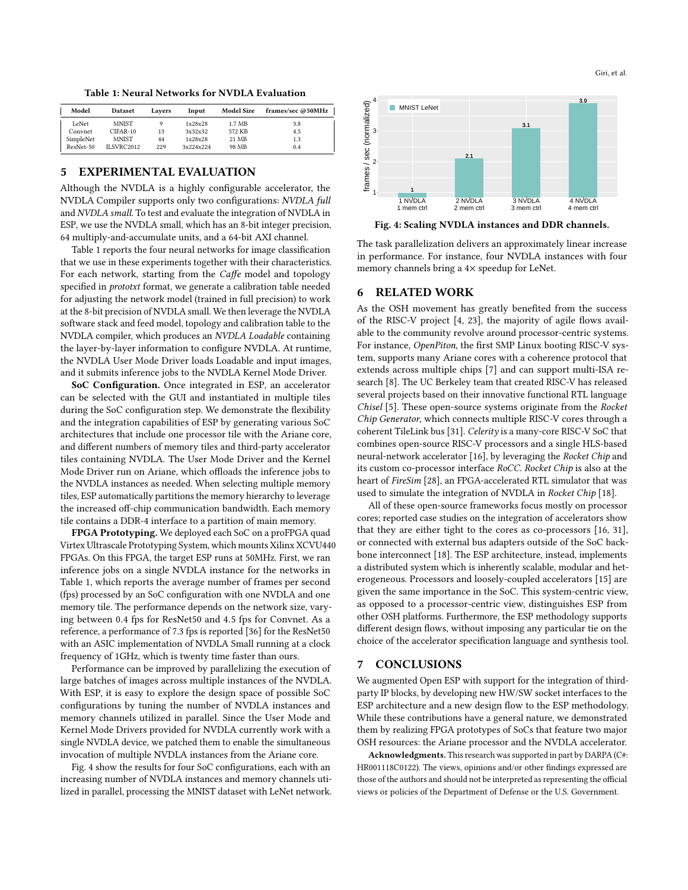Table 1: Neural Networks for NVDLA Evaluation

<span id="page-5-0"></span>

| Model     | <b>Dataset</b>    | Lavers | Input     | <b>Model Size</b> | frames/sec @50MHz |
|-----------|-------------------|--------|-----------|-------------------|-------------------|
| LeNet     | <b>MNIST</b>      |        | 1x28x28   | 1.7 MB            | 3.8               |
| Convnet   | $CIFAR-10$        | 13     | 3x32x32   | 572 KB            | 4.5               |
| SimpleNet | <b>MNIST</b>      | 44     | 1x28x28   | 21 MB             | 1.3               |
| ResNet-50 | <b>ILSVRC2012</b> | 229    | 3x224x224 | 98 MB             | 0.4               |

## 5 EXPERIMENTAL EVALUATION

Although the NVDLA is a highly configurable accelerator, the NVDLA Compiler supports only two configurations: NVDLA full and NVDLA small. To test and evaluate the integration of NVDLA in ESP, we use the NVDLA small, which has an 8-bit integer precision, 64 multiply-and-accumulate units, and a 64-bit AXI channel.

Table [1](#page-5-0) reports the four neural networks for image classification that we use in these experiments together with their characteristics. For each network, starting from the Caffe model and topology specified in *prototxt* format, we generate a calibration table needed for adjusting the network model (trained in full precision) to work at the 8-bit precision of NVDLA small. We then leverage the NVDLA software stack and feed model, topology and calibration table to the NVDLA compiler, which produces an NVDLA Loadable containing the layer-by-layer information to configure NVDLA. At runtime, the NVDLA User Mode Driver loads Loadable and input images, and it submits inference jobs to the NVDLA Kernel Mode Driver.

SoC Configuration. Once integrated in ESP, an accelerator can be selected with the GUI and instantiated in multiple tiles during the SoC configuration step. We demonstrate the flexibility and the integration capabilities of ESP by generating various SoC architectures that include one processor tile with the Ariane core, and different numbers of memory tiles and third-party accelerator tiles containing NVDLA. The User Mode Driver and the Kernel Mode Driver run on Ariane, which offloads the inference jobs to the NVDLA instances as needed. When selecting multiple memory tiles, ESP automatically partitions the memory hierarchy to leverage the increased off-chip communication bandwidth. Each memory tile contains a DDR-4 interface to a partition of main memory.

FPGA Prototyping. We deployed each SoC on a proFPGA quad Virtex Ultrascale Prototyping System, which mounts Xilinx XCVU440 FPGAs. On this FPGA, the target ESP runs at 50MHz. First, we ran inference jobs on a single NVDLA instance for the networks in Table [1,](#page-5-0) which reports the average number of frames per second (fps) processed by an SoC configuration with one NVDLA and one memory tile. The performance depends on the network size, varying between <sup>0</sup>.<sup>4</sup> fps for ResNet50 and <sup>4</sup>.<sup>5</sup> fps for Convnet. As a reference, a performance of 7.3 fps is reported [\[36\]](#page-6-38) for the ResNet50 with an ASIC implementation of NVDLA Small running at a clock frequency of 1GHz, which is twenty time faster than ours.

Performance can be improved by parallelizing the execution of large batches of images across multiple instances of the NVDLA. With ESP, it is easy to explore the design space of possible SoC configurations by tuning the number of NVDLA instances and memory channels utilized in parallel. Since the User Mode and Kernel Mode Drivers provided for NVDLA currently work with a single NVDLA device, we patched them to enable the simultaneous invocation of multiple NVDLA instances from the Ariane core.

Fig. [4](#page-5-1) show the results for four SoC configurations, each with an increasing number of NVDLA instances and memory channels utilized in parallel, processing the MNIST dataset with LeNet network.

<span id="page-5-1"></span>

Fig. 4: Scaling NVDLA instances and DDR channels.

The task parallelization delivers an approximately linear increase in performance. For instance, four NVDLA instances with four memory channels bring a 4× speedup for LeNet.

## 6 RELATED WORK

As the OSH movement has greatly benefited from the success of the RISC-V project [\[4,](#page-6-2) [23\]](#page-6-3), the majority of agile flows available to the community revolve around processor-centric systems. For instance, OpenPiton, the first SMP Linux booting RISC-V system, supports many Ariane cores with a coherence protocol that extends across multiple chips [\[7\]](#page-6-39) and can support multi-ISA research [\[8\]](#page-6-40). The UC Berkeley team that created RISC-V has released several projects based on their innovative functional RTL language Chisel [\[5\]](#page-6-41). These open-source systems originate from the Rocket Chip Generator, which connects multiple RISC-V cores through a coherent TileLink bus [\[31\]](#page-6-42). Celerity is a many-core RISC-V SoC that combines open-source RISC-V processors and a single HLS-based neural-network accelerator [\[16\]](#page-6-43), by leveraging the Rocket Chip and its custom co-processor interface RoCC. Rocket Chip is also at the heart of FireSim [\[28\]](#page-6-44), an FPGA-accelerated RTL simulator that was used to simulate the integration of NVDLA in Rocket Chip [\[18\]](#page-6-45).

All of these open-source frameworks focus mostly on processor cores; reported case studies on the integration of accelerators show that they are either tight to the cores as co-processors [\[16,](#page-6-43) [31\]](#page-6-42), or connected with external bus adapters outside of the SoC backbone interconnect [\[18\]](#page-6-45). The ESP architecture, instead, implements a distributed system which is inherently scalable, modular and heterogeneous. Processors and loosely-coupled accelerators [\[15\]](#page-6-6) are given the same importance in the SoC. This system-centric view, as opposed to a processor-centric view, distinguishes ESP from other OSH platforms. Furthermore, the ESP methodology supports different design flows, without imposing any particular tie on the choice of the accelerator specification language and synthesis tool.

## 7 CONCLUSIONS

We augmented Open ESP with support for the integration of thirdparty IP blocks, by developing new HW/SW socket interfaces to the ESP architecture and a new design flow to the ESP methodology. While these contributions have a general nature, we demonstrated them by realizing FPGA prototypes of SoCs that feature two major OSH resources: the Ariane processor and the NVDLA accelerator.

Acknowledgments. This research was supported in part by DARPA (C#: HR001118C0122). The views, opinions and/or other findings expressed are those of the authors and should not be interpreted as representing the official views or policies of the Department of Defense or the U.S. Government.